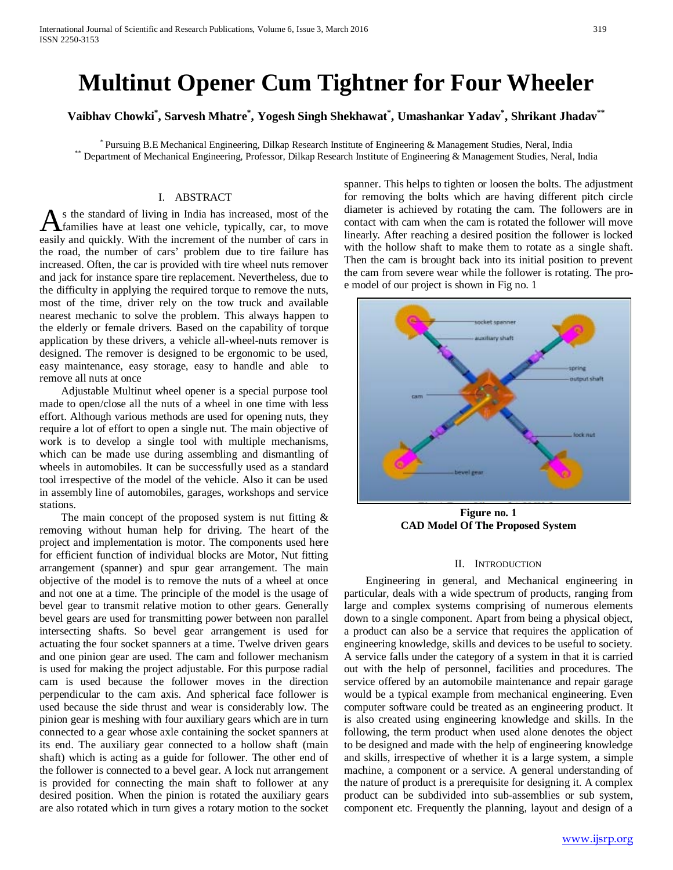# **Multinut Opener Cum Tightner for Four Wheeler**

**Vaibhav Chowki\* , Sarvesh Mhatre\* , Yogesh Singh Shekhawat\* , Umashankar Yadav\* , Shrikant Jhadav\*\***

\* Pursuing B.E. Mechanical Engineering, Dilkap Research Institute of Engineering & Management Studies, Neral, India<br>Department of Mechanical Engineering, Professor, Dilkap Research Institute of Engineering & Management Stu

#### I. ABSTRACT

s the standard of living in India has increased, most of the families have at least one vehicle, typically, car, to move As the standard of living in India has increased, most of the families have at least one vehicle, typically, car, to move easily and quickly. With the increment of the number of cars in the road, the number of cars' problem due to tire failure has increased. Often, the car is provided with tire wheel nuts remover and jack for instance spare tire replacement. Nevertheless, due to the difficulty in applying the required torque to remove the nuts, most of the time, driver rely on the tow truck and available nearest mechanic to solve the problem. This always happen to the elderly or female drivers. Based on the capability of torque application by these drivers, a vehicle all-wheel-nuts remover is designed. The remover is designed to be ergonomic to be used, easy maintenance, easy storage, easy to handle and able to remove all nuts at once

 Adjustable Multinut wheel opener is a special purpose tool made to open/close all the nuts of a wheel in one time with less effort. Although various methods are used for opening nuts, they require a lot of effort to open a single nut. The main objective of work is to develop a single tool with multiple mechanisms, which can be made use during assembling and dismantling of wheels in automobiles. It can be successfully used as a standard tool irrespective of the model of the vehicle. Also it can be used in assembly line of automobiles, garages, workshops and service stations.

The main concept of the proposed system is nut fitting  $\&$ removing without human help for driving. The heart of the project and implementation is motor. The components used here for efficient function of individual blocks are Motor, Nut fitting arrangement (spanner) and spur gear arrangement. The main objective of the model is to remove the nuts of a wheel at once and not one at a time. The principle of the model is the usage of bevel gear to transmit relative motion to other gears. Generally bevel gears are used for transmitting power between non parallel intersecting shafts. So bevel gear arrangement is used for actuating the four socket spanners at a time. Twelve driven gears and one pinion gear are used. The cam and follower mechanism is used for making the project adjustable. For this purpose radial cam is used because the follower moves in the direction perpendicular to the cam axis. And spherical face follower is used because the side thrust and wear is considerably low. The pinion gear is meshing with four auxiliary gears which are in turn connected to a gear whose axle containing the socket spanners at its end. The auxiliary gear connected to a hollow shaft (main shaft) which is acting as a guide for follower. The other end of the follower is connected to a bevel gear. A lock nut arrangement is provided for connecting the main shaft to follower at any desired position. When the pinion is rotated the auxiliary gears are also rotated which in turn gives a rotary motion to the socket

spanner. This helps to tighten or loosen the bolts. The adjustment for removing the bolts which are having different pitch circle diameter is achieved by rotating the cam. The followers are in contact with cam when the cam is rotated the follower will move linearly. After reaching a desired position the follower is locked with the hollow shaft to make them to rotate as a single shaft. Then the cam is brought back into its initial position to prevent the cam from severe wear while the follower is rotating. The proe model of our project is shown in Fig no. 1



**Figure no. 1 CAD Model Of The Proposed System**

#### II. INTRODUCTION

 Engineering in general, and Mechanical engineering in particular, deals with a wide spectrum of products, ranging from large and complex systems comprising of numerous elements down to a single component. Apart from being a physical object, a product can also be a service that requires the application of engineering knowledge, skills and devices to be useful to society. A service falls under the category of a system in that it is carried out with the help of personnel, facilities and procedures. The service offered by an automobile maintenance and repair garage would be a typical example from mechanical engineering. Even computer software could be treated as an engineering product. It is also created using engineering knowledge and skills. In the following, the term product when used alone denotes the object to be designed and made with the help of engineering knowledge and skills, irrespective of whether it is a large system, a simple machine, a component or a service. A general understanding of the nature of product is a prerequisite for designing it. A complex product can be subdivided into sub-assemblies or sub system, component etc. Frequently the planning, layout and design of a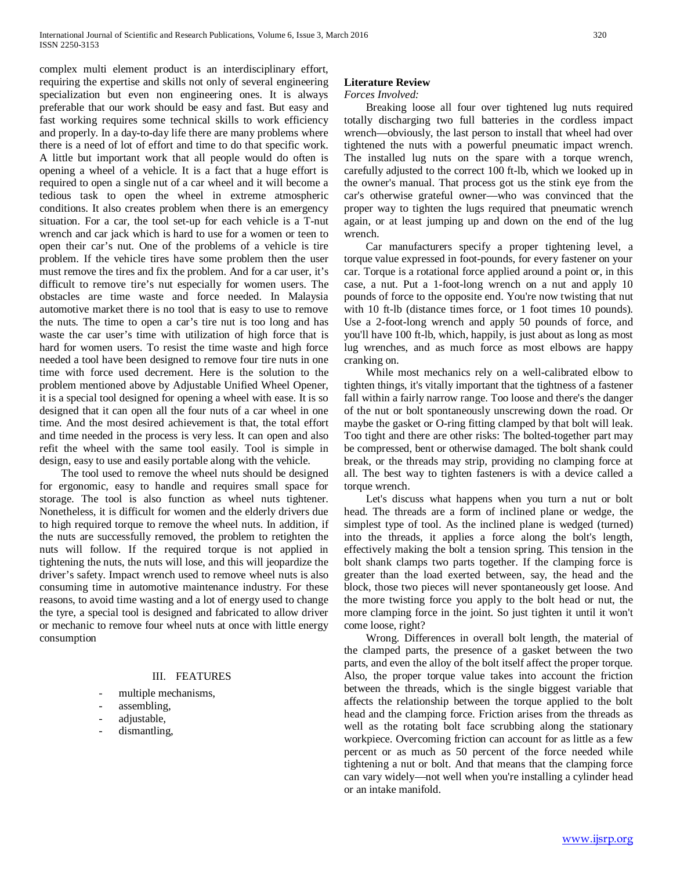complex multi element product is an interdisciplinary effort, requiring the expertise and skills not only of several engineering specialization but even non engineering ones. It is always preferable that our work should be easy and fast. But easy and fast working requires some technical skills to work efficiency and properly. In a day-to-day life there are many problems where there is a need of lot of effort and time to do that specific work. A little but important work that all people would do often is opening a wheel of a vehicle. It is a fact that a huge effort is required to open a single nut of a car wheel and it will become a tedious task to open the wheel in extreme atmospheric conditions. It also creates problem when there is an emergency situation. For a car, the tool set-up for each vehicle is a T-nut wrench and car jack which is hard to use for a women or teen to open their car's nut. One of the problems of a vehicle is tire problem. If the vehicle tires have some problem then the user must remove the tires and fix the problem. And for a car user, it's difficult to remove tire's nut especially for women users. The obstacles are time waste and force needed. In Malaysia automotive market there is no tool that is easy to use to remove the nuts. The time to open a car's tire nut is too long and has waste the car user's time with utilization of high force that is hard for women users. To resist the time waste and high force needed a tool have been designed to remove four tire nuts in one time with force used decrement. Here is the solution to the problem mentioned above by Adjustable Unified Wheel Opener, it is a special tool designed for opening a wheel with ease. It is so designed that it can open all the four nuts of a car wheel in one time. And the most desired achievement is that, the total effort and time needed in the process is very less. It can open and also refit the wheel with the same tool easily. Tool is simple in design, easy to use and easily portable along with the vehicle.

 The tool used to remove the wheel nuts should be designed for ergonomic, easy to handle and requires small space for storage. The tool is also function as wheel nuts tightener. Nonetheless, it is difficult for women and the elderly drivers due to high required torque to remove the wheel nuts. In addition, if the nuts are successfully removed, the problem to retighten the nuts will follow. If the required torque is not applied in tightening the nuts, the nuts will lose, and this will jeopardize the driver's safety. Impact wrench used to remove wheel nuts is also consuming time in automotive maintenance industry. For these reasons, to avoid time wasting and a lot of energy used to change the tyre, a special tool is designed and fabricated to allow driver or mechanic to remove four wheel nuts at once with little energy consumption

## III. FEATURES

- multiple mechanisms,
- assembling,
- adjustable,
- dismantling,

## **Literature Review**

#### *Forces Involved:*

 Breaking loose all four over tightened lug nuts required totally discharging two full batteries in the cordless impact wrench—obviously, the last person to install that wheel had over tightened the nuts with a powerful pneumatic impact wrench. The installed lug nuts on the spare with a torque wrench, carefully adjusted to the correct 100 ft-lb, which we looked up in the owner's manual. That process got us the stink eye from the car's otherwise grateful owner—who was convinced that the proper way to tighten the lugs required that pneumatic wrench again, or at least jumping up and down on the end of the lug wrench.

 Car manufacturers specify a proper tightening level, a torque value expressed in foot-pounds, for every fastener on your car. Torque is a rotational force applied around a point or, in this case, a nut. Put a 1-foot-long wrench on a nut and apply 10 pounds of force to the opposite end. You're now twisting that nut with 10 ft-lb (distance times force, or 1 foot times 10 pounds). Use a 2-foot-long wrench and apply 50 pounds of force, and you'll have 100 ft-lb, which, happily, is just about as long as most lug wrenches, and as much force as most elbows are happy cranking on.

 While most mechanics rely on a well-calibrated elbow to tighten things, it's vitally important that the tightness of a fastener fall within a fairly narrow range. Too loose and there's the danger of the nut or bolt spontaneously unscrewing down the road. Or maybe the gasket or O-ring fitting clamped by that bolt will leak. Too tight and there are other risks: The bolted-together part may be compressed, bent or otherwise damaged. The bolt shank could break, or the threads may strip, providing no clamping force at all. The best way to tighten fasteners is with a device called a torque wrench.

 Let's discuss what happens when you turn a nut or bolt head. The threads are a form of inclined plane or wedge, the simplest type of tool. As the inclined plane is wedged (turned) into the threads, it applies a force along the bolt's length, effectively making the bolt a tension spring. This tension in the bolt shank clamps two parts together. If the clamping force is greater than the load exerted between, say, the head and the block, those two pieces will never spontaneously get loose. And the more twisting force you apply to the bolt head or nut, the more clamping force in the joint. So just tighten it until it won't come loose, right?

 Wrong. Differences in overall bolt length, the material of the clamped parts, the presence of a gasket between the two parts, and even the alloy of the bolt itself affect the proper torque. Also, the proper torque value takes into account the friction between the threads, which is the single biggest variable that affects the relationship between the torque applied to the bolt head and the clamping force. Friction arises from the threads as well as the rotating bolt face scrubbing along the stationary workpiece. Overcoming friction can account for as little as a few percent or as much as 50 percent of the force needed while tightening a nut or bolt. And that means that the clamping force can vary widely—not well when you're installing a cylinder head or an intake manifold.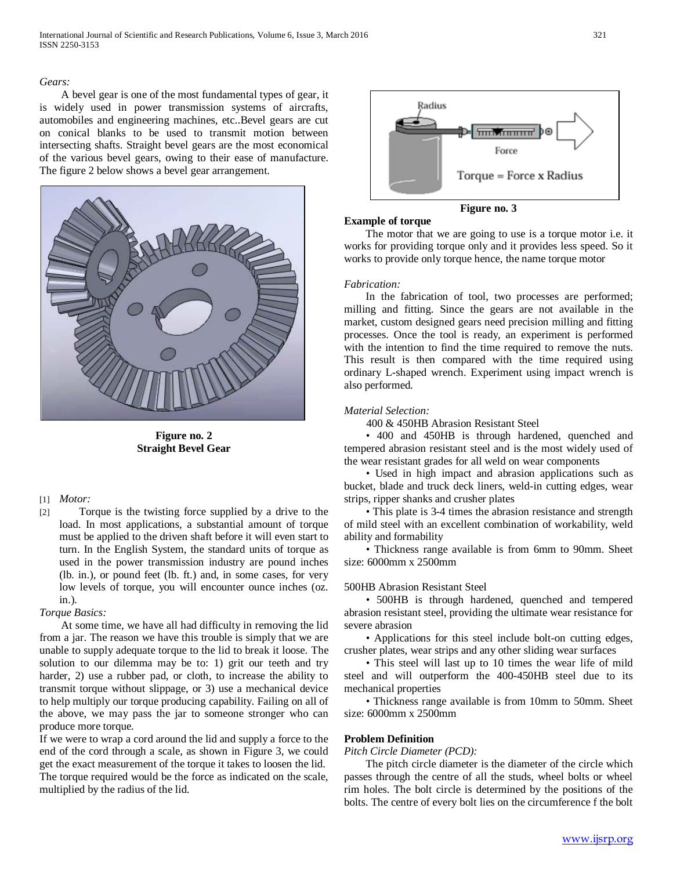## *Gears:*

 A bevel gear is one of the most fundamental types of gear, it is widely used in power transmission systems of aircrafts, automobiles and engineering machines, etc..Bevel gears are cut on conical blanks to be used to transmit motion between intersecting shafts. Straight bevel gears are the most economical of the various bevel gears, owing to their ease of manufacture. The figure 2 below shows a bevel gear arrangement.



**Figure no. 2 Straight Bevel Gear**

#### [1] *Motor:*

[2] Torque is the twisting force supplied by a drive to the load. In most applications, a substantial amount of torque must be applied to the driven shaft before it will even start to turn. In the English System, the standard units of torque as used in the power transmission industry are pound inches (lb. in.), or pound feet (lb. ft.) and, in some cases, for very low levels of torque, you will encounter ounce inches (oz. in.).

#### *Torque Basics:*

 At some time, we have all had difficulty in removing the lid from a jar. The reason we have this trouble is simply that we are unable to supply adequate torque to the lid to break it loose. The solution to our dilemma may be to: 1) grit our teeth and try harder, 2) use a rubber pad, or cloth, to increase the ability to transmit torque without slippage, or 3) use a mechanical device to help multiply our torque producing capability. Failing on all of the above, we may pass the jar to someone stronger who can produce more torque.

If we were to wrap a cord around the lid and supply a force to the end of the cord through a scale, as shown in Figure 3, we could get the exact measurement of the torque it takes to loosen the lid. The torque required would be the force as indicated on the scale, multiplied by the radius of the lid.



**Figure no. 3**

 The motor that we are going to use is a torque motor i.e. it works for providing torque only and it provides less speed. So it works to provide only torque hence, the name torque motor

## *Fabrication:*

**Example of torque**

 In the fabrication of tool, two processes are performed; milling and fitting. Since the gears are not available in the market, custom designed gears need precision milling and fitting processes. Once the tool is ready, an experiment is performed with the intention to find the time required to remove the nuts. This result is then compared with the time required using ordinary L-shaped wrench. Experiment using impact wrench is also performed.

# *Material Selection:*

400 & 450HB Abrasion Resistant Steel

 • 400 and 450HB is through hardened, quenched and tempered abrasion resistant steel and is the most widely used of the wear resistant grades for all weld on wear components

 • Used in high impact and abrasion applications such as bucket, blade and truck deck liners, weld-in cutting edges, wear strips, ripper shanks and crusher plates

 • This plate is 3-4 times the abrasion resistance and strength of mild steel with an excellent combination of workability, weld ability and formability

 • Thickness range available is from 6mm to 90mm. Sheet size: 6000mm x 2500mm

# 500HB Abrasion Resistant Steel

 • 500HB is through hardened, quenched and tempered abrasion resistant steel, providing the ultimate wear resistance for severe abrasion

 • Applications for this steel include bolt-on cutting edges, crusher plates, wear strips and any other sliding wear surfaces

 • This steel will last up to 10 times the wear life of mild steel and will outperform the 400-450HB steel due to its mechanical properties

 • Thickness range available is from 10mm to 50mm. Sheet size: 6000mm x 2500mm

# **Problem Definition**

#### *Pitch Circle Diameter (PCD):*

 The pitch circle diameter is the diameter of the circle which passes through the centre of all the studs, wheel bolts or wheel rim holes. The bolt circle is determined by the positions of the bolts. The centre of every bolt lies on the circumference f the bolt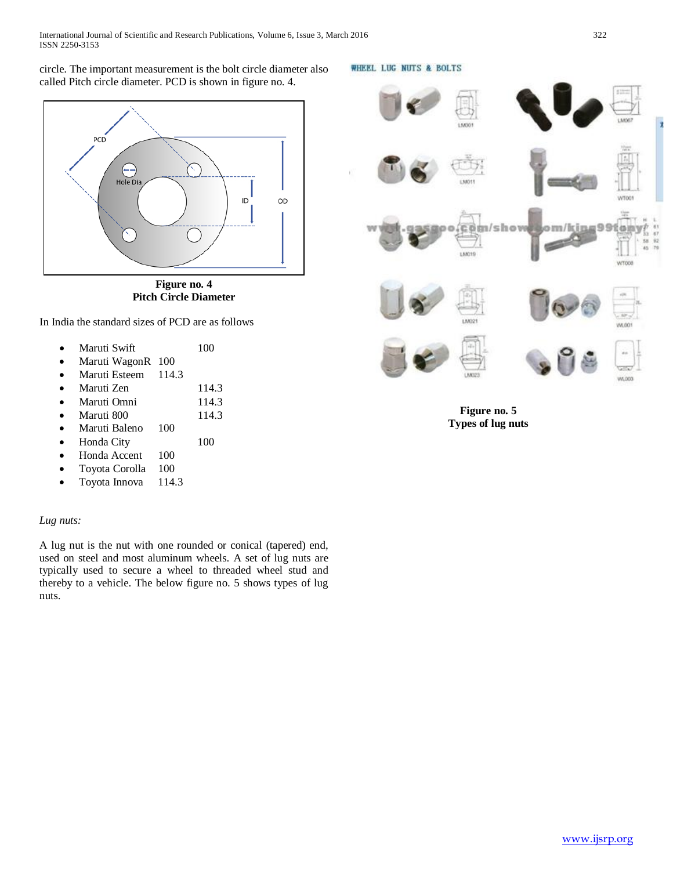circle. The important measurement is the bolt circle diameter also called Pitch circle diameter. PCD is shown in figure no. 4.



**Figure no. 4 Pitch Circle Diameter**

In India the standard sizes of PCD are as follows

| Maruti Swift | 100 |
|--------------|-----|
|              |     |

- Maruti WagonR 100
- Maruti Esteem 114.3
- Maruti Zen 114.3
- Maruti Omni 114.3
- Maruti 800 114.3
- Maruti Baleno 100
- Honda City 100
- Honda Accent 100
- Toyota Corolla 100
- Toyota Innova 114.3

# *Lug nuts:*

A lug nut is the nut with one rounded or conical (tapered) end, used on steel and most aluminum wheels. A set of lug nuts are typically used to secure a wheel to threaded wheel stud and thereby to a vehicle. The below figure no. 5 shows types of lug nuts.

WHEEL LUG NUTS & BOLTS



**Figure no. 5 Types of lug nuts**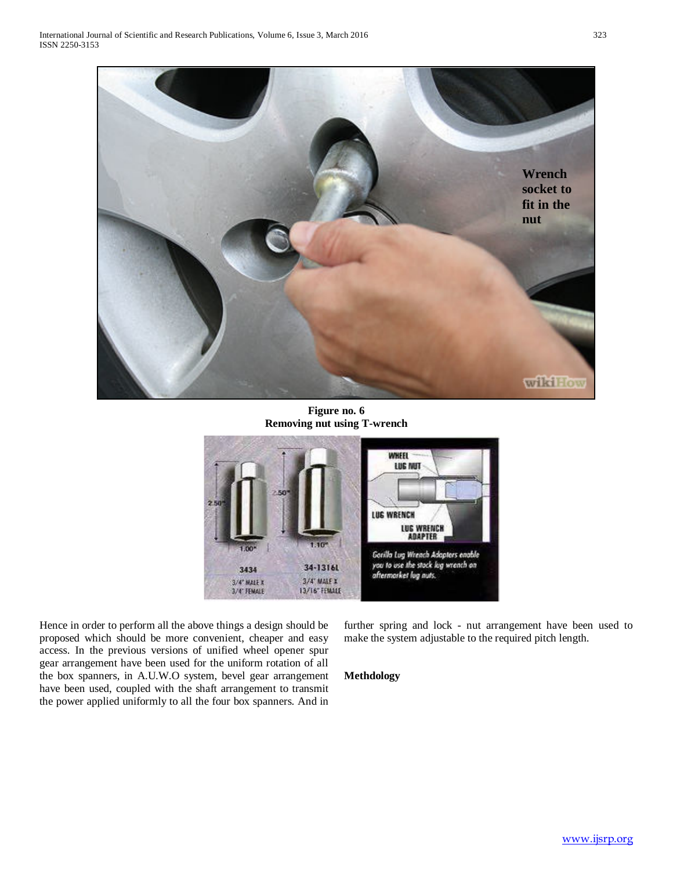

**Figure no. 6 Removing nut using T-wrench**



Hence in order to perform all the above things a design should be proposed which should be more convenient, cheaper and easy access. In the previous versions of unified wheel opener spur gear arrangement have been used for the uniform rotation of all the box spanners, in A.U.W.O system, bevel gear arrangement have been used, coupled with the shaft arrangement to transmit the power applied uniformly to all the four box spanners. And in further spring and lock - nut arrangement have been used to make the system adjustable to the required pitch length.

# **Methdology**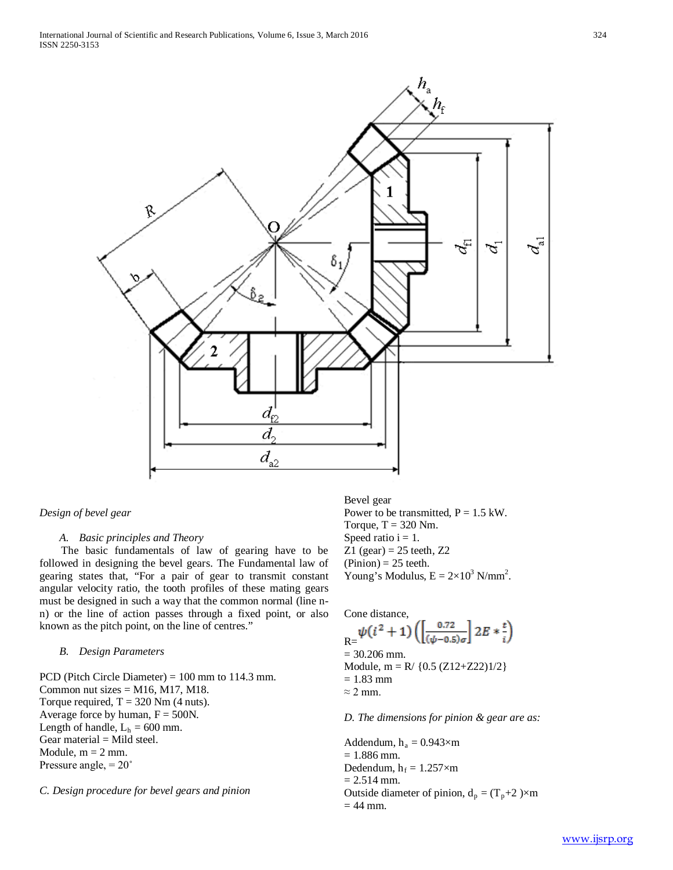

# *Design of bevel gear*

## *A. Basic principles and Theory*

 The basic fundamentals of law of gearing have to be followed in designing the bevel gears. The Fundamental law of gearing states that, "For a pair of gear to transmit constant angular velocity ratio, the tooth profiles of these mating gears must be designed in such a way that the common normal (line nn) or the line of action passes through a fixed point, or also known as the pitch point, on the line of centres."

## *B. Design Parameters*

PCD (Pitch Circle Diameter) = 100 mm to 114.3 mm. Common nut sizes  $= M16$ , M17, M18. Torque required,  $T = 320$  Nm (4 nuts). Average force by human,  $F = 500N$ . Length of handle,  $L_h = 600$  mm. Gear material  $=$  Mild steel. Module,  $m = 2$  mm. Pressure angle, = 20˚

## *C. Design procedure for bevel gears and pinion*

Bevel gear Power to be transmitted,  $P = 1.5$  kW. Torque,  $T = 320$  Nm. Speed ratio  $i = 1$ . Z1 (gear) =  $25$  teeth, Z2  $(Pinion) = 25$  teeth. Young's Modulus,  $E = 2 \times 10^3$  N/mm<sup>2</sup>.

### Cone distance,

$$
\begin{aligned} \n\mathbf{R} &= \psi(i^2 + 1) \left( \left[ \frac{0.72}{(\psi - 0.5)\sigma} \right] 2E * \frac{t}{i} \right) \\ \n&= 30.206 \text{ mm.} \\ \n\text{Module, m} &= \text{R} / \{0.5 \, (Z12 + Z22) \} / 2 \} \\ \n&= 1.83 \text{ mm} \\ \n&\approx 2 \text{ mm.} \n\end{aligned}
$$

## *D. The dimensions for pinion & gear are as:*

Addendum,  $h_a = 0.943 \times m$  $= 1.886$  mm. Dedendum,  $h_f = 1.257 \times m$  $= 2.514$  mm. Outside diameter of pinion,  $d_p = (T_p + 2) \times m$  $= 44$  mm.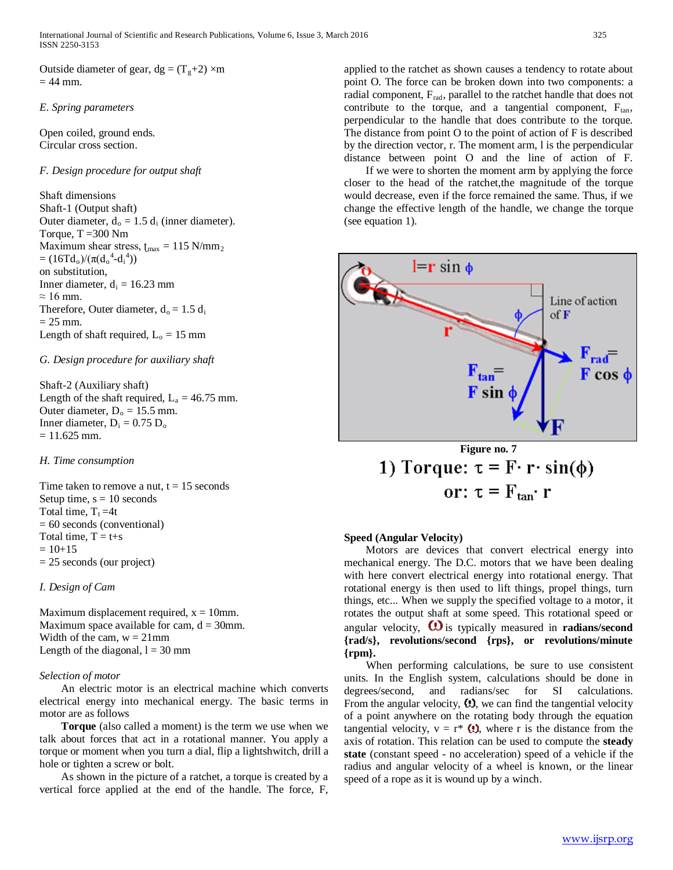Outside diameter of gear,  $dg = (T_g + 2) \times m$  $= 44$  mm.

# *E. Spring parameters*

Open coiled, ground ends. Circular cross section.

## *F. Design procedure for output shaft*

Shaft dimensions Shaft-1 (Output shaft) Outer diameter,  $d_0 = 1.5 d_i$  (inner diameter). Torque,  $T = 300$  Nm Maximum shear stress,  $t_{\text{max}} = 115 \text{ N/mm}_2$  $= (16Td_0)/(\pi(d_0^4-d_1^4))$ on substitution, Inner diameter,  $d_i = 16.23$  mm  $\approx 16$  mm. Therefore, Outer diameter,  $d_0 = 1.5 d_i$  $= 25$  mm. Length of shaft required,  $L_0 = 15$  mm

# *G. Design procedure for auxiliary shaft*

Shaft-2 (Auxiliary shaft) Length of the shaft required,  $L_a = 46.75$  mm. Outer diameter,  $D_0 = 15.5$  mm. Inner diameter,  $D_i = 0.75 D_o$  $= 11.625$  mm.

#### *H. Time consumption*

Time taken to remove a nut,  $t = 15$  seconds Setup time,  $s = 10$  seconds Total time,  $T_t = 4t$ = 60 seconds (conventional) Total time,  $T = t+s$  $= 10+15$ = 25 seconds (our project)

## *I. Design of Cam*

Maximum displacement required,  $x = 10$ mm. Maximum space available for cam,  $d = 30$ mm. Width of the cam,  $w = 21$  mm Length of the diagonal,  $l = 30$  mm

#### *Selection of motor*

 An electric motor is an electrical machine which converts electrical energy into mechanical energy. The basic terms in motor are as follows

 **Torque** (also called a moment) is the term we use when we talk about forces that act in a rotational manner. You apply a torque or moment when you turn a dial, flip a lightshwitch, drill a hole or tighten a screw or bolt.

 As shown in the picture of a ratchet, a torque is created by a vertical force applied at the end of the handle. The force, F, applied to the ratchet as shown causes a tendency to rotate about point O. The force can be broken down into two components: a radial component,  $F_{rad}$ , parallel to the ratchet handle that does not contribute to the torque, and a tangential component,  $F_{tan}$ , perpendicular to the handle that does contribute to the torque. The distance from point O to the point of action of F is described by the direction vector, r. The moment arm, l is the perpendicular distance between point O and the line of action of F.

 If we were to shorten the moment arm by applying the force closer to the head of the ratchet,the magnitude of the torque would decrease, even if the force remained the same. Thus, if we change the effective length of the handle, we change the torque (see equation 1).



Figure no. 7  
1) Torque: 
$$
\tau = F \cdot r \cdot \sin(\phi)
$$
  
or:  $\tau = F_{tan} \cdot r$ 

# **Speed (Angular Velocity)**

 Motors are devices that convert electrical energy into mechanical energy. The D.C. motors that we have been dealing with here convert electrical energy into rotational energy. That rotational energy is then used to lift things, propel things, turn things, etc... When we supply the specified voltage to a motor, it rotates the output shaft at some speed. This rotational speed or angular velocity,  $\mathbf{Q}$  is typically measured in **radians/second {rad/s}, revolutions/second {rps}, or revolutions/minute {rpm}.** 

 When performing calculations, be sure to use consistent units. In the English system, calculations should be done in degrees/second, and radians/sec for SI calculations. From the angular velocity,  $\Omega$ , we can find the tangential velocity of a point anywhere on the rotating body through the equation tangential velocity,  $v = r^* \Theta$ , where r is the distance from the axis of rotation. This relation can be used to compute the **steady state** (constant speed - no acceleration) speed of a vehicle if the radius and angular velocity of a wheel is known, or the linear speed of a rope as it is wound up by a winch.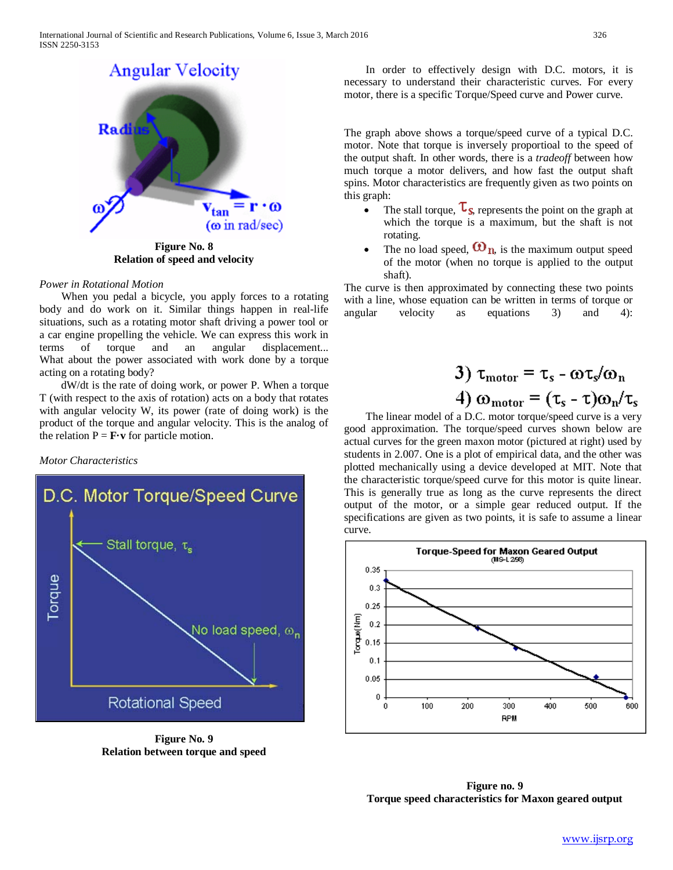

**Figure No. 8 Relation of speed and velocity**

## *Power in Rotational Motion*

 When you pedal a bicycle, you apply forces to a rotating body and do work on it. Similar things happen in real-life situations, such as a rotating motor shaft driving a power tool or a car engine propelling the vehicle. We can express this work in terms of torque and an angular displacement... What about the power associated with work done by a torque acting on a rotating body?

 dW/dt is the rate of doing work, or power P. When a torque T (with respect to the axis of rotation) acts on a body that rotates with angular velocity W, its power (rate of doing work) is the product of the torque and angular velocity. This is the analog of the relation  $P = \mathbf{F} \cdot \mathbf{v}$  for particle motion.





**Figure No. 9 Relation between torque and speed**

 In order to effectively design with D.C. motors, it is necessary to understand their characteristic curves. For every motor, there is a specific Torque/Speed curve and Power curve.

The graph above shows a torque/speed curve of a typical D.C. motor. Note that torque is inversely proportioal to the speed of the output shaft. In other words, there is a *tradeoff* between how much torque a motor delivers, and how fast the output shaft spins. Motor characteristics are frequently given as two points on this graph:

- The stall torque,  $\tau_s$  represents the point on the graph at which the torque is a maximum, but the shaft is not rotating.
- The no load speed,  $\mathbf{\Omega}_{n}$  is the maximum output speed of the motor (when no torque is applied to the output shaft).

The curve is then approximated by connecting these two points with a line, whose equation can be written in terms of torque or angular velocity as equations 3) and 4):

3) 
$$
\tau_{\text{motor}} = \tau_s - \omega \tau_s / \omega_n
$$
  
4)  $\omega_{\text{motor}} = (\tau_s - \tau) \omega_n / \tau_s$ 

 The linear model of a D.C. motor torque/speed curve is a very good approximation. The torque/speed curves shown below are actual curves for the green maxon motor (pictured at right) used by students in 2.007. One is a plot of empirical data, and the other was plotted mechanically using a device developed at MIT. Note that the characteristic torque/speed curve for this motor is quite linear. This is generally true as long as the curve represents the direct output of the motor, or a simple gear reduced output. If the specifications are given as two points, it is safe to assume a linear curve.



**Figure no. 9 Torque speed characteristics for Maxon geared output**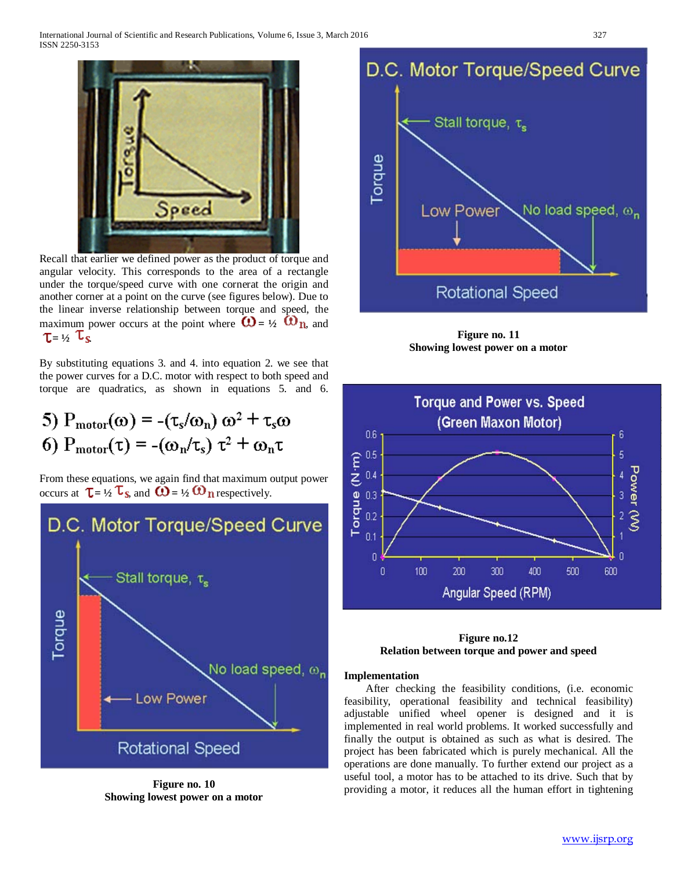

Recall that earlier we defined power as the product of torque and angular velocity. This corresponds to the area of a rectangle under the torque/speed curve with one cornerat the origin and another corner at a point on the curve (see figures below). Due to the linear inverse relationship between torque and speed, the maximum power occurs at the point where  $\mathbf{C} = \mathbf{1}/2$   $\mathbf{C} = \mathbf{1}/2$  and  $\tau = \frac{1}{2}$   $\tau_s$ 

By substituting equations 3. and 4. into equation 2. we see that the power curves for a D.C. motor with respect to both speed and torque are quadratics, as shown in equations 5. and 6.

5) 
$$
P_{\text{motor}}(\omega) = -(\tau_s/\omega_n) \omega^2 + \tau_s \omega
$$
  
6)  $P_{\text{motor}}(\tau) = -(\omega_n/\tau_s) \tau^2 + \omega_n \tau$ 

From these equations, we again find that maximum output power occurs at  $\mathbf{T} = \frac{1}{2} \mathbf{I}_s$  and  $\mathbf{O} = \frac{1}{2} \mathbf{O}_s$  respectively.



**Figure no. 10 Showing lowest power on a motor**



**Figure no. 11 Showing lowest power on a motor**



**Figure no.12 Relation between torque and power and speed**

#### **Implementation**

 After checking the feasibility conditions, (i.e. economic feasibility, operational feasibility and technical feasibility) adjustable unified wheel opener is designed and it is implemented in real world problems. It worked successfully and finally the output is obtained as such as what is desired. The project has been fabricated which is purely mechanical. All the operations are done manually. To further extend our project as a useful tool, a motor has to be attached to its drive. Such that by providing a motor, it reduces all the human effort in tightening